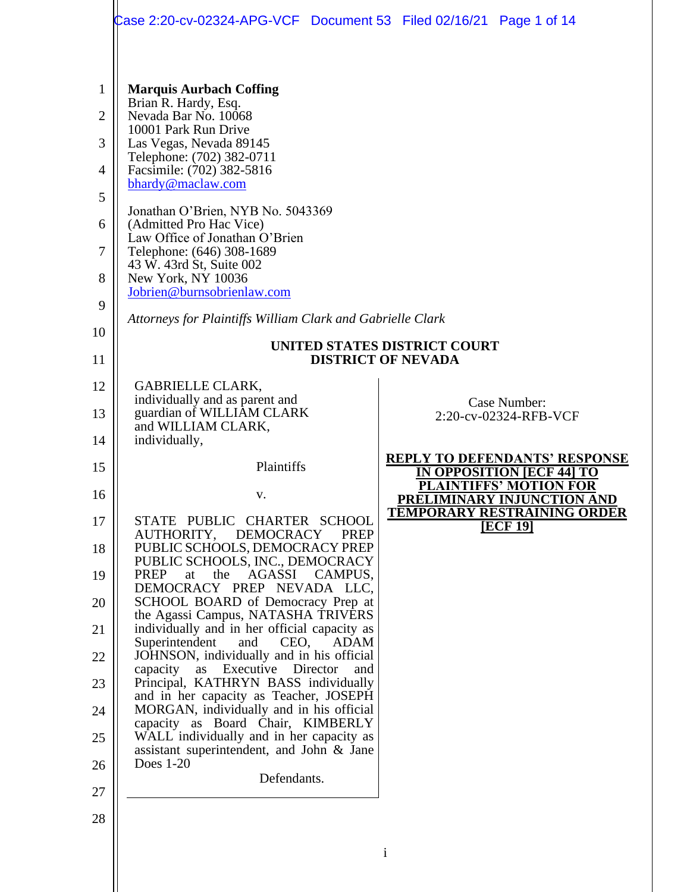|                                         | Case 2:20-cv-02324-APG-VCF  Document 53  Filed 02/16/21  Page 1 of 14                                                                                                                                                                                                                                              |                                                                          |
|-----------------------------------------|--------------------------------------------------------------------------------------------------------------------------------------------------------------------------------------------------------------------------------------------------------------------------------------------------------------------|--------------------------------------------------------------------------|
| 1<br>$\overline{2}$<br>3<br>4<br>5<br>6 | <b>Marquis Aurbach Coffing</b><br>Brian R. Hardy, Esq.<br>Nevada Bar No. 10068<br>10001 Park Run Drive<br>Las Vegas, Nevada 89145<br>Telephone: (702) 382-0711<br>Facsimile: (702) 382-5816<br>bhardy@maclaw.com<br>Jonathan O'Brien, NYB No. 5043369<br>(Admitted Pro Hac Vice)<br>Law Office of Jonathan O'Brien |                                                                          |
| 7<br>8                                  | Telephone: (646) 308-1689<br>43 W. 43rd St, Suite 002<br>New York, NY 10036                                                                                                                                                                                                                                        |                                                                          |
| 9                                       | Jobrien@burnsobrienlaw.com<br>Attorneys for Plaintiffs William Clark and Gabrielle Clark                                                                                                                                                                                                                           |                                                                          |
| 10<br>11                                | UNITED STATES DISTRICT COURT<br><b>DISTRICT OF NEVADA</b>                                                                                                                                                                                                                                                          |                                                                          |
|                                         |                                                                                                                                                                                                                                                                                                                    |                                                                          |
| 12<br>13                                | <b>GABRIELLE CLARK,</b><br>individually and as parent and<br>guardian of WILLIAM CLARK                                                                                                                                                                                                                             | Case Number:<br>2:20-cv-02324-RFB-VCF                                    |
| 14                                      | and WILLIAM CLARK,<br>individually,                                                                                                                                                                                                                                                                                |                                                                          |
| 15                                      | Plaintiffs                                                                                                                                                                                                                                                                                                         | <b>REPLY TO DEFENDANTS' RESPONSE</b><br><b>IN OPPOSITION [ECF 44] TO</b> |
| 16                                      | V.                                                                                                                                                                                                                                                                                                                 | <b>LAINTIFFS' MOTION FOR</b><br>PRELIMINARY INJUNCTION AND               |
| 17                                      | STATE PUBLIC CHARTER SCHOOL<br>AUTHORITY, DEMOCRACY<br>PREP                                                                                                                                                                                                                                                        | <b>TEMPORARY RESTRAINING ORDER</b><br><b>ECF 191</b>                     |
| 18<br>19                                | PUBLIC SCHOOLS, DEMOCRACY PREP<br>PUBLIC SCHOOLS, INC., DEMOCRACY<br>the<br><b>AGASSI</b><br>PREP<br>at<br>CAMPUS,                                                                                                                                                                                                 |                                                                          |
| 20                                      | DEMOCRACY PREP NEVADA LLC,<br>SCHOOL BOARD of Democracy Prep at                                                                                                                                                                                                                                                    |                                                                          |
| 21                                      | the Agassi Campus, NATASHA TRIVERS<br>individually and in her official capacity as                                                                                                                                                                                                                                 |                                                                          |
| 22                                      | Superintendent<br>and<br><b>ADAM</b><br>CEO,<br>JOHNSON, individually and in his official                                                                                                                                                                                                                          |                                                                          |
| 23                                      | capacity<br>Executive Director<br>as<br>and<br>Principal, KATHRYN BASS individually                                                                                                                                                                                                                                |                                                                          |
| 24                                      | and in her capacity as Teacher, JOSEPH<br>MORGAN, individually and in his official                                                                                                                                                                                                                                 |                                                                          |
| 25                                      | capacity as Board Chair, KIMBERLY<br>WALL individually and in her capacity as<br>assistant superintendent, and John & Jane                                                                                                                                                                                         |                                                                          |
| 26                                      | Does $1-20$<br>Defendants.                                                                                                                                                                                                                                                                                         |                                                                          |
| 27                                      |                                                                                                                                                                                                                                                                                                                    |                                                                          |
| 28                                      |                                                                                                                                                                                                                                                                                                                    |                                                                          |
|                                         |                                                                                                                                                                                                                                                                                                                    | $\mathbf{i}$                                                             |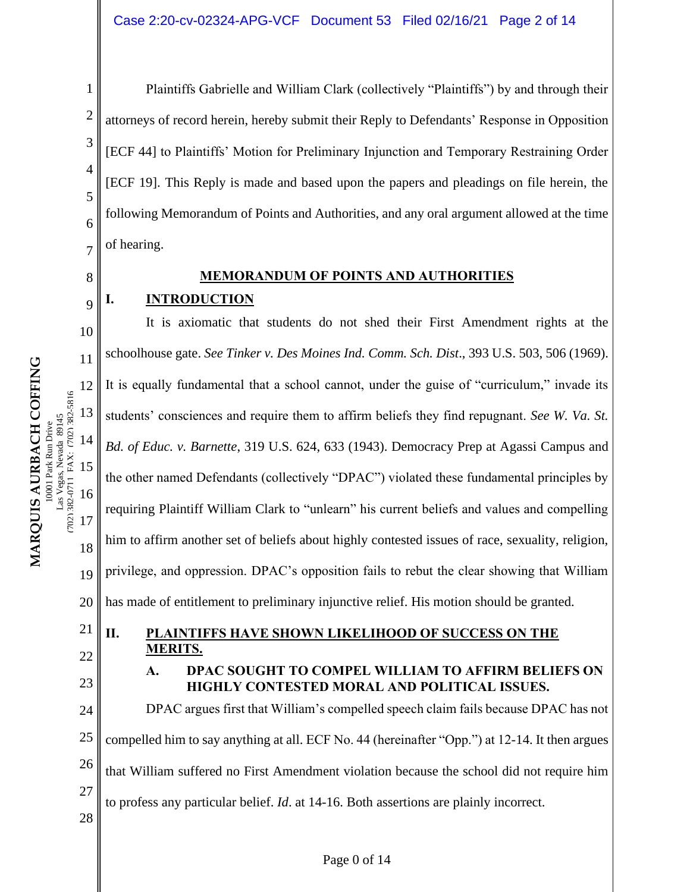Plaintiffs Gabrielle and William Clark (collectively "Plaintiffs") by and through their attorneys of record herein, hereby submit their Reply to Defendants' Response in Opposition [ECF 44] to Plaintiffs' Motion for Preliminary Injunction and Temporary Restraining Order [ECF 19]. This Reply is made and based upon the papers and pleadings on file herein, the following Memorandum of Points and Authorities, and any oral argument allowed at the time of hearing.

1

2

3

4

5

6

7

8

9

# **MEMORANDUM OF POINTS AND AUTHORITIES**

# **I. INTRODUCTION**

10 11 12 13 14 15 16 17 18 19 20 It is axiomatic that students do not shed their First Amendment rights at the schoolhouse gate. *See Tinker v. Des Moines Ind. Comm. Sch. Dist*., 393 U.S. 503, 506 (1969). It is equally fundamental that a school cannot, under the guise of "curriculum," invade its students' consciences and require them to affirm beliefs they find repugnant. *See W. Va. St. Bd. of Educ. v. Barnette*, 319 U.S. 624, 633 (1943). Democracy Prep at Agassi Campus and the other named Defendants (collectively "DPAC") violated these fundamental principles by requiring Plaintiff William Clark to "unlearn" his current beliefs and values and compelling him to affirm another set of beliefs about highly contested issues of race, sexuality, religion, privilege, and oppression. DPAC's opposition fails to rebut the clear showing that William has made of entitlement to preliminary injunctive relief. His motion should be granted.

21 22

23

# **II. PLAINTIFFS HAVE SHOWN LIKELIHOOD OF SUCCESS ON THE MERITS.**

## **A. DPAC SOUGHT TO COMPEL WILLIAM TO AFFIRM BELIEFS ON HIGHLY CONTESTED MORAL AND POLITICAL ISSUES.**

24 25 26 27 28 DPAC argues first that William's compelled speech claim fails because DPAC has not compelled him to say anything at all. ECF No. 44 (hereinafter "Opp.") at 12-14. It then argues that William suffered no First Amendment violation because the school did not require him to profess any particular belief. *Id*. at 14-16. Both assertions are plainly incorrect.

(702) 382-0711 FAX: (702) 382-5816

702) 382-0711 FAX: (702) 382-5816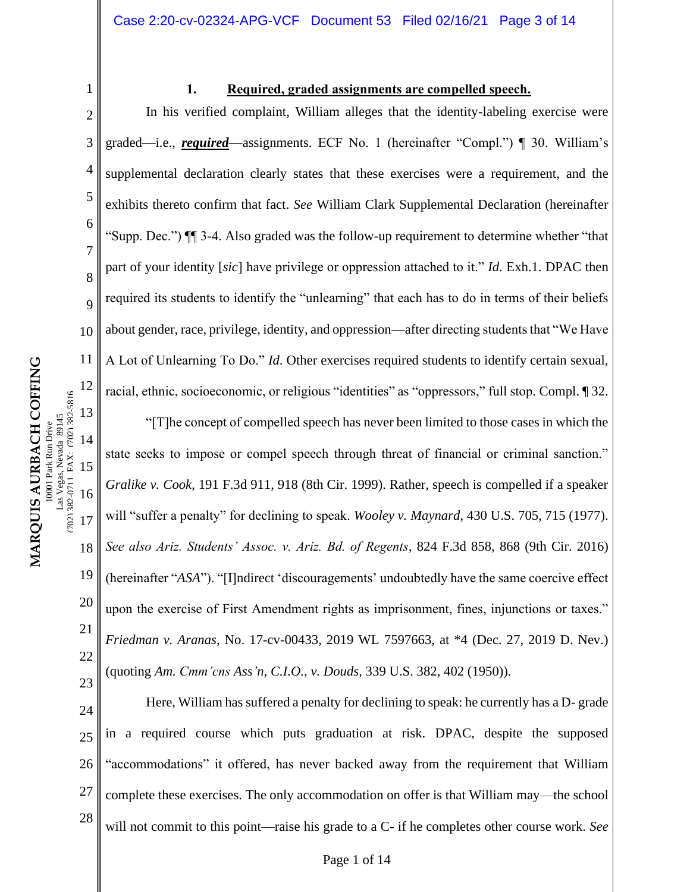MARQUIS AURBACH COFFING **MARQUIS AURBACH COFFING** 702) 382-0711 FAX: (702) 382-5816 (702) 382-0711 FAX: (702) 382-5816 Vegas, Nevada 89145 Las Vegas, Nevada 89145 0001 Park Run Drive 10001 Park Run Drive

1

2

3

4

5

6

7

8

9

10

11

12

13

**1. Required, graded assignments are compelled speech.**

In his verified complaint, William alleges that the identity-labeling exercise were graded—i.e., *required*—assignments. ECF No. 1 (hereinafter "Compl.") ¶ 30. William's supplemental declaration clearly states that these exercises were a requirement, and the exhibits thereto confirm that fact. *See* William Clark Supplemental Declaration (hereinafter "Supp. Dec.") ¶¶ 3-4. Also graded was the follow-up requirement to determine whether "that part of your identity [*sic*] have privilege or oppression attached to it." *Id*. Exh.1. DPAC then required its students to identify the "unlearning" that each has to do in terms of their beliefs about gender, race, privilege, identity, and oppression—after directing students that "We Have A Lot of Unlearning To Do." *Id*. Other exercises required students to identify certain sexual, racial, ethnic, socioeconomic, or religious "identities" as "oppressors," full stop. Compl. ¶ 32. "[T]he concept of compelled speech has never been limited to those cases in which the

14 15 16 17 18 19 20 21 22 23 state seeks to impose or compel speech through threat of financial or criminal sanction." *Gralike v. Cook*, 191 F.3d 911, 918 (8th Cir. 1999). Rather, speech is compelled if a speaker will "suffer a penalty" for declining to speak. *Wooley v. Maynard*, 430 U.S. 705, 715 (1977). *See also Ariz. Students' Assoc. v. Ariz. Bd. of Regents*, 824 F.3d 858, 868 (9th Cir. 2016) (hereinafter "*ASA*"). "[I]ndirect 'discouragements' undoubtedly have the same coercive effect upon the exercise of First Amendment rights as imprisonment, fines, injunctions or taxes." *Friedman v. Aranas*, No. 17-cv-00433, 2019 WL 7597663, at \*4 (Dec. 27, 2019 D. Nev.) (quoting *Am. Cmm'cns Ass'n, C.I.O., v. Douds*, 339 U.S. 382, 402 (1950)).

24 25 26 27 28 Here, William has suffered a penalty for declining to speak: he currently has a D- grade in a required course which puts graduation at risk. DPAC, despite the supposed "accommodations" it offered, has never backed away from the requirement that William complete these exercises. The only accommodation on offer is that William may—the school will not commit to this point—raise his grade to a C- if he completes other course work. *See*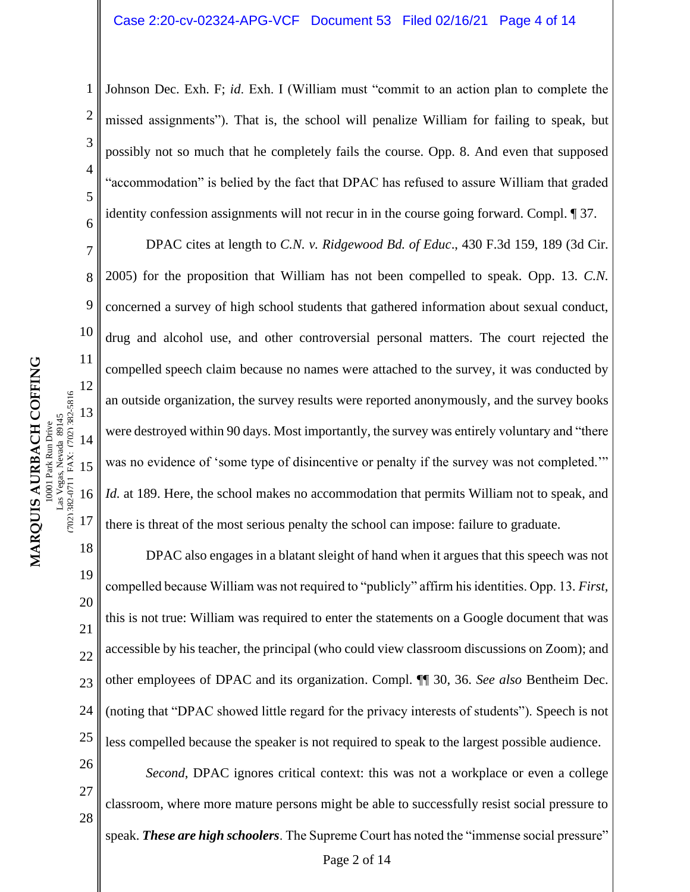Johnson Dec. Exh. F; *id*. Exh. I (William must "commit to an action plan to complete the missed assignments"). That is, the school will penalize William for failing to speak, but possibly not so much that he completely fails the course. Opp. 8. And even that supposed "accommodation" is belied by the fact that DPAC has refused to assure William that graded identity confession assignments will not recur in in the course going forward. Compl. ¶ 37.

DPAC cites at length to *C.N. v. Ridgewood Bd. of Educ*., 430 F.3d 159, 189 (3d Cir. 2005) for the proposition that William has not been compelled to speak. Opp. 13. *C.N.* concerned a survey of high school students that gathered information about sexual conduct, drug and alcohol use, and other controversial personal matters. The court rejected the compelled speech claim because no names were attached to the survey, it was conducted by an outside organization, the survey results were reported anonymously, and the survey books were destroyed within 90 days. Most importantly, the survey was entirely voluntary and "there was no evidence of 'some type of disincentive or penalty if the survey was not completed.'" *Id.* at 189. Here, the school makes no accommodation that permits William not to speak, and there is threat of the most serious penalty the school can impose: failure to graduate.

18 19 20 21 22 23 24 25 DPAC also engages in a blatant sleight of hand when it argues that this speech was not compelled because William was not required to "publicly" affirm his identities. Opp. 13*. First,* this is not true: William was required to enter the statements on a Google document that was accessible by his teacher, the principal (who could view classroom discussions on Zoom); and other employees of DPAC and its organization. Compl. ¶¶ 30, 36. *See also* Bentheim Dec. (noting that "DPAC showed little regard for the privacy interests of students"). Speech is not less compelled because the speaker is not required to speak to the largest possible audience.

*Second*, DPAC ignores critical context: this was not a workplace or even a college classroom, where more mature persons might be able to successfully resist social pressure to speak. *These are high schoolers*. The Supreme Court has noted the "immense social pressure"

1

2

3

4

5

6

7

8

9

10

11

12

13

14

15

16

17

26

27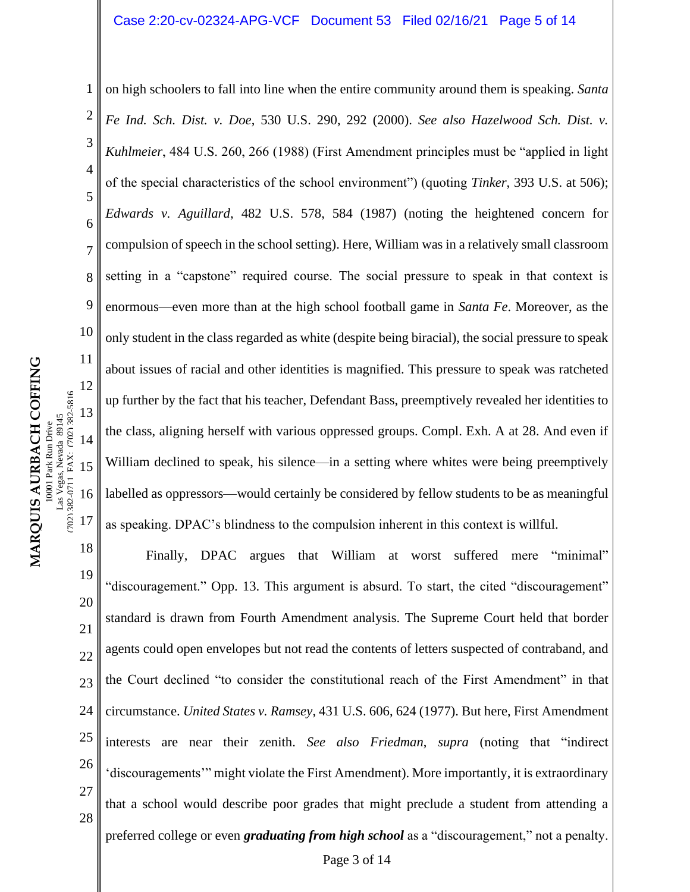#### Case 2:20-cv-02324-APG-VCF Document 53 Filed 02/16/21 Page 5 of 14

1 2 3 4 5 6 7 8 9 10 11 12 13 14 15 16 17 on high schoolers to fall into line when the entire community around them is speaking. *Santa Fe Ind. Sch. Dist. v. Doe*, 530 U.S. 290, 292 (2000). *See also Hazelwood Sch. Dist. v. Kuhlmeier*, 484 U.S. 260, 266 (1988) (First Amendment principles must be "applied in light of the special characteristics of the school environment") (quoting *Tinker*, 393 U.S. at 506); *Edwards v. Aguillard*, 482 U.S. 578, 584 (1987) (noting the heightened concern for compulsion of speech in the school setting). Here, William was in a relatively small classroom setting in a "capstone" required course. The social pressure to speak in that context is enormous—even more than at the high school football game in *Santa Fe*. Moreover, as the only student in the class regarded as white (despite being biracial), the social pressure to speak about issues of racial and other identities is magnified. This pressure to speak was ratcheted up further by the fact that his teacher, Defendant Bass, preemptively revealed her identities to the class, aligning herself with various oppressed groups. Compl. Exh. A at 28. And even if William declined to speak, his silence—in a setting where whites were being preemptively labelled as oppressors—would certainly be considered by fellow students to be as meaningful as speaking. DPAC's blindness to the compulsion inherent in this context is willful.

18 19 20 21 22 23 24 25 26 27 28 Finally, DPAC argues that William at worst suffered mere "minimal" "discouragement." Opp. 13. This argument is absurd. To start, the cited "discouragement" standard is drawn from Fourth Amendment analysis. The Supreme Court held that border agents could open envelopes but not read the contents of letters suspected of contraband, and the Court declined "to consider the constitutional reach of the First Amendment" in that circumstance. *United States v. Ramsey*, 431 U.S. 606, 624 (1977). But here, First Amendment interests are near their zenith. *See also Friedman*, *supra* (noting that "indirect 'discouragements'" might violate the First Amendment). More importantly, it is extraordinary that a school would describe poor grades that might preclude a student from attending a preferred college or even *graduating from high school* as a "discouragement," not a penalty.

(702) 382-0711 FAX: (702) 382-5816

702) 382-0711 FAX: (702) 382-5816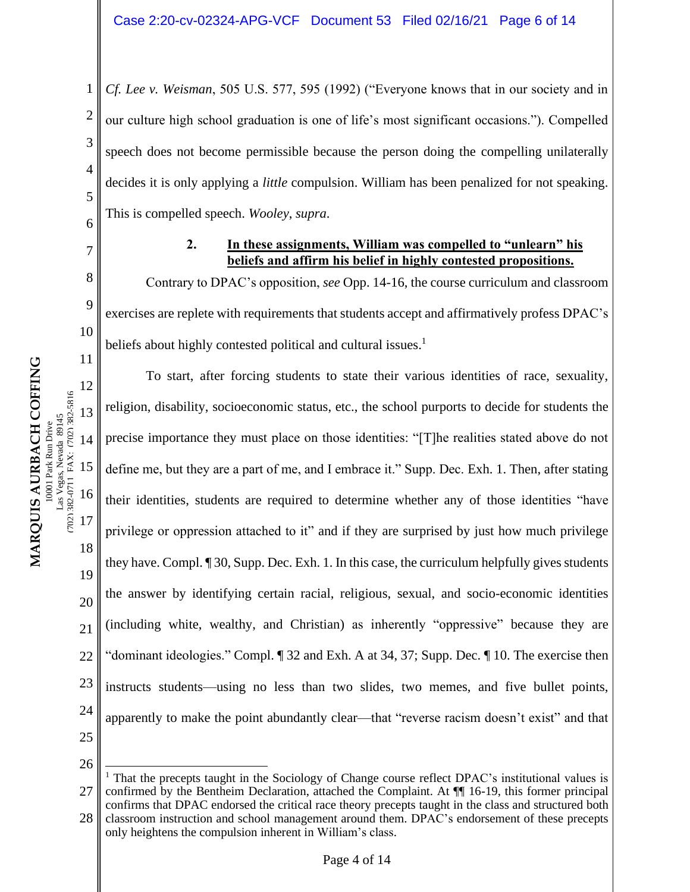*Cf. Lee v. Weisman*, 505 U.S. 577, 595 (1992) ("Everyone knows that in our society and in our culture high school graduation is one of life's most significant occasions."). Compelled speech does not become permissible because the person doing the compelling unilaterally decides it is only applying a *little* compulsion. William has been penalized for not speaking. This is compelled speech. *Wooley*, *supra*.

## **2. In these assignments, William was compelled to "unlearn" his beliefs and affirm his belief in highly contested propositions.**

Contrary to DPAC's opposition, *see* Opp. 14-16, the course curriculum and classroom exercises are replete with requirements that students accept and affirmatively profess DPAC's beliefs about highly contested political and cultural issues.<sup>1</sup>

12 13 14 15 16 17 18 19 20 21 22 23 24 25 To start, after forcing students to state their various identities of race, sexuality, religion, disability, socioeconomic status, etc., the school purports to decide for students the precise importance they must place on those identities: "[T]he realities stated above do not define me, but they are a part of me, and I embrace it." Supp. Dec. Exh. 1. Then, after stating their identities, students are required to determine whether any of those identities "have privilege or oppression attached to it" and if they are surprised by just how much privilege they have. Compl. ¶ 30, Supp. Dec. Exh. 1. In this case, the curriculum helpfully gives students the answer by identifying certain racial, religious, sexual, and socio-economic identities (including white, wealthy, and Christian) as inherently "oppressive" because they are "dominant ideologies." Compl. ¶ 32 and Exh. A at 34, 37; Supp. Dec. ¶ 10. The exercise then instructs students—using no less than two slides, two memes, and five bullet points, apparently to make the point abundantly clear—that "reverse racism doesn't exist" and that

26

(702) 382-0711 FAX: (702) 382-5816

1

2

3

4

5

6

7

8

9

10

<sup>27</sup> 28 <sup>1</sup> That the precepts taught in the Sociology of Change course reflect DPAC's institutional values is confirmed by the Bentheim Declaration, attached the Complaint. At ¶¶ 16-19, this former principal confirms that DPAC endorsed the critical race theory precepts taught in the class and structured both classroom instruction and school management around them. DPAC's endorsement of these precepts only heightens the compulsion inherent in William's class.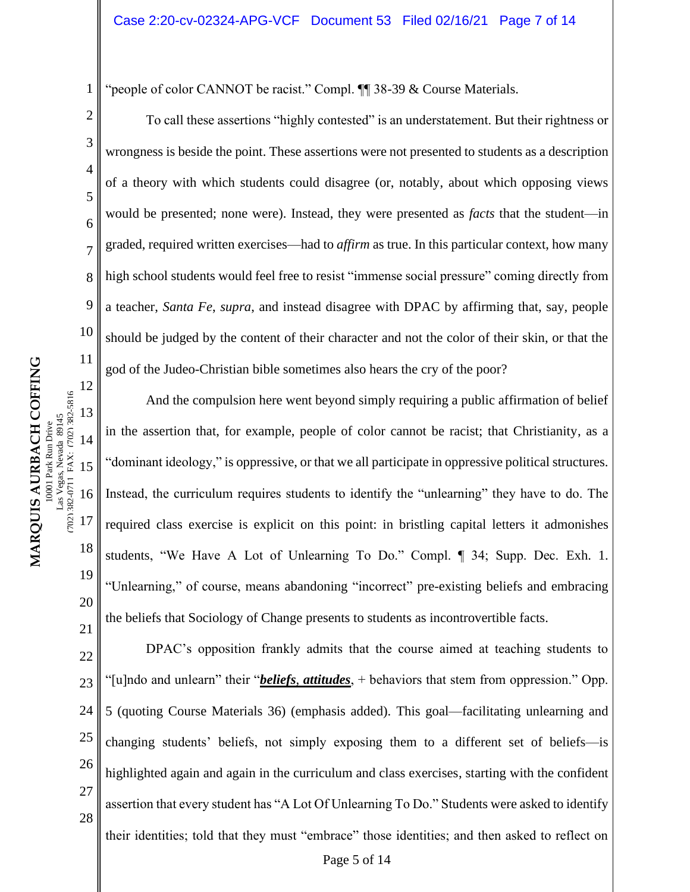"people of color CANNOT be racist." Compl. ¶¶ 38-39 & Course Materials.

To call these assertions "highly contested" is an understatement. But their rightness or wrongness is beside the point. These assertions were not presented to students as a description of a theory with which students could disagree (or, notably, about which opposing views would be presented; none were). Instead, they were presented as *facts* that the student—in graded, required written exercises—had to *affirm* as true. In this particular context, how many high school students would feel free to resist "immense social pressure" coming directly from a teacher, *Santa Fe*, *supra*, and instead disagree with DPAC by affirming that, say, people should be judged by the content of their character and not the color of their skin, or that the god of the Judeo-Christian bible sometimes also hears the cry of the poor?

20 And the compulsion here went beyond simply requiring a public affirmation of belief in the assertion that, for example, people of color cannot be racist; that Christianity, as a "dominant ideology," is oppressive, or that we all participate in oppressive political structures. Instead, the curriculum requires students to identify the "unlearning" they have to do. The required class exercise is explicit on this point: in bristling capital letters it admonishes students, "We Have A Lot of Unlearning To Do." Compl. ¶ 34; Supp. Dec. Exh. 1. "Unlearning," of course, means abandoning "incorrect" pre-existing beliefs and embracing the beliefs that Sociology of Change presents to students as incontrovertible facts.

22 23 24 25 26 27 28 DPAC's opposition frankly admits that the course aimed at teaching students to "[u]ndo and unlearn" their "*beliefs*, *attitudes*, + behaviors that stem from oppression." Opp. 5 (quoting Course Materials 36) (emphasis added). This goal—facilitating unlearning and changing students' beliefs, not simply exposing them to a different set of beliefs—is highlighted again and again in the curriculum and class exercises, starting with the confident assertion that every student has "A Lot Of Unlearning To Do." Students were asked to identify their identities; told that they must "embrace" those identities; and then asked to reflect on

1

2

3

4

5

6

7

8

9

10

19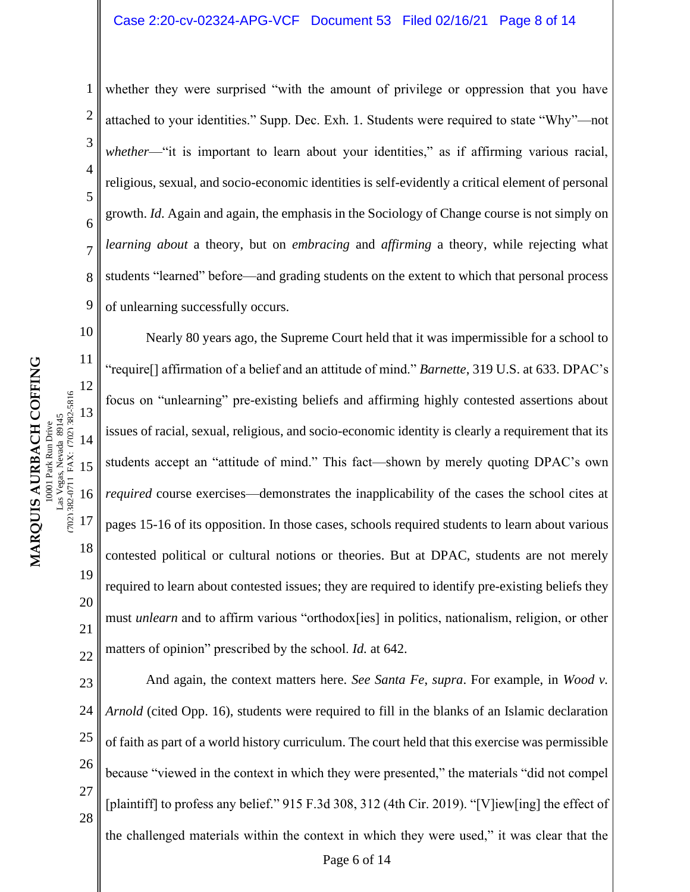#### Case 2:20-cv-02324-APG-VCF Document 53 Filed 02/16/21 Page 8 of 14

whether they were surprised "with the amount of privilege or oppression that you have attached to your identities." Supp. Dec. Exh. 1. Students were required to state "Why"—not *whether*—"it is important to learn about your identities," as if affirming various racial, religious, sexual, and socio-economic identities is self-evidently a critical element of personal growth. *Id*. Again and again, the emphasis in the Sociology of Change course is not simply on *learning about* a theory, but on *embracing* and *affirming* a theory, while rejecting what students "learned" before—and grading students on the extent to which that personal process of unlearning successfully occurs.

10 11 12 14 16 18 19 20 21 22 Nearly 80 years ago, the Supreme Court held that it was impermissible for a school to "require[] affirmation of a belief and an attitude of mind." *Barnette*, 319 U.S. at 633. DPAC's focus on "unlearning" pre-existing beliefs and affirming highly contested assertions about issues of racial, sexual, religious, and socio-economic identity is clearly a requirement that its students accept an "attitude of mind." This fact—shown by merely quoting DPAC's own *required* course exercises—demonstrates the inapplicability of the cases the school cites at pages 15-16 of its opposition. In those cases, schools required students to learn about various contested political or cultural notions or theories. But at DPAC, students are not merely required to learn about contested issues; they are required to identify pre-existing beliefs they must *unlearn* and to affirm various "orthodox[ies] in politics, nationalism, religion, or other matters of opinion" prescribed by the school. *Id.* at 642.

23 24 25 26 27 28 And again, the context matters here. *See Santa Fe*, *supra*. For example, in *Wood v. Arnold* (cited Opp. 16), students were required to fill in the blanks of an Islamic declaration of faith as part of a world history curriculum. The court held that this exercise was permissible because "viewed in the context in which they were presented," the materials "did not compel [plaintiff] to profess any belief." 915 F.3d 308, 312 (4th Cir. 2019). "[V]iew[ing] the effect of the challenged materials within the context in which they were used," it was clear that the

1

2

3

4

5

6

7

8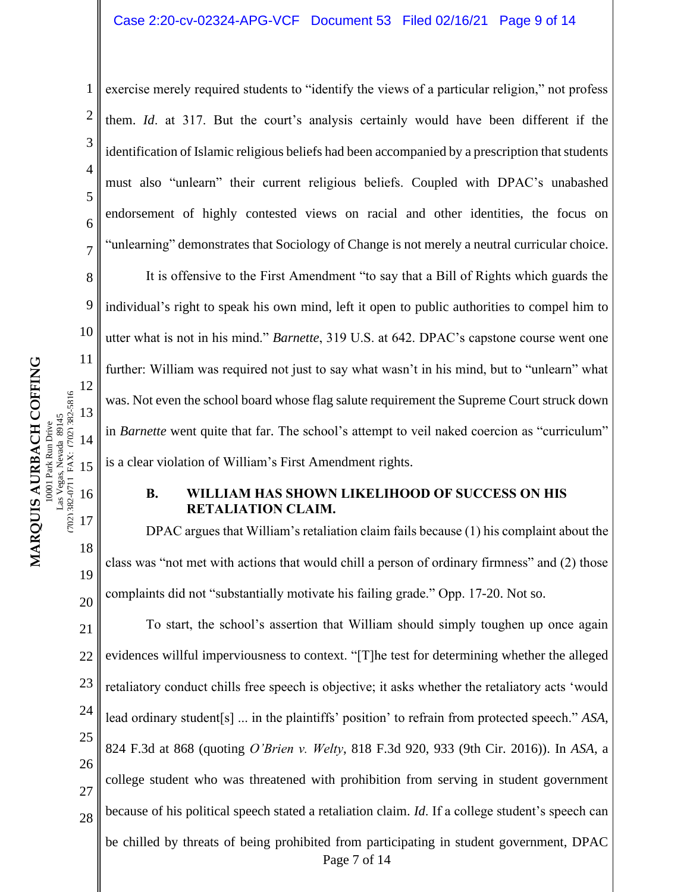#### Case 2:20-cv-02324-APG-VCF Document 53 Filed 02/16/21 Page 9 of 14

8 exercise merely required students to "identify the views of a particular religion," not profess them. *Id*. at 317. But the court's analysis certainly would have been different if the identification of Islamic religious beliefs had been accompanied by a prescription that students must also "unlearn" their current religious beliefs. Coupled with DPAC's unabashed endorsement of highly contested views on racial and other identities, the focus on "unlearning" demonstrates that Sociology of Change is not merely a neutral curricular choice. It is offensive to the First Amendment "to say that a Bill of Rights which guards the individual's right to speak his own mind, left it open to public authorities to compel him to utter what is not in his mind." *Barnette*, 319 U.S. at 642. DPAC's capstone course went one further: William was required not just to say what wasn't in his mind, but to "unlearn" what was. Not even the school board whose flag salute requirement the Supreme Court struck down in *Barnette* went quite that far. The school's attempt to veil naked coercion as "curriculum" is a clear violation of William's First Amendment rights.

### **B. WILLIAM HAS SHOWN LIKELIHOOD OF SUCCESS ON HIS RETALIATION CLAIM.**

DPAC argues that William's retaliation claim fails because (1) his complaint about the class was "not met with actions that would chill a person of ordinary firmness" and (2) those complaints did not "substantially motivate his failing grade." Opp. 17-20. Not so.

21 22 23 24 25 26 27 28 Page 7 of 14 To start, the school's assertion that William should simply toughen up once again evidences willful imperviousness to context. "[T]he test for determining whether the alleged retaliatory conduct chills free speech is objective; it asks whether the retaliatory acts 'would lead ordinary student[s] ... in the plaintiffs' position' to refrain from protected speech." *ASA*, 824 F.3d at 868 (quoting *O'Brien v. Welty*, 818 F.3d 920, 933 (9th Cir. 2016)). In *ASA*, a college student who was threatened with prohibition from serving in student government because of his political speech stated a retaliation claim. *Id*. If a college student's speech can be chilled by threats of being prohibited from participating in student government, DPAC

1

2

3

4

5

6

7

9

10

11

12

13

14

15

16

17

18

19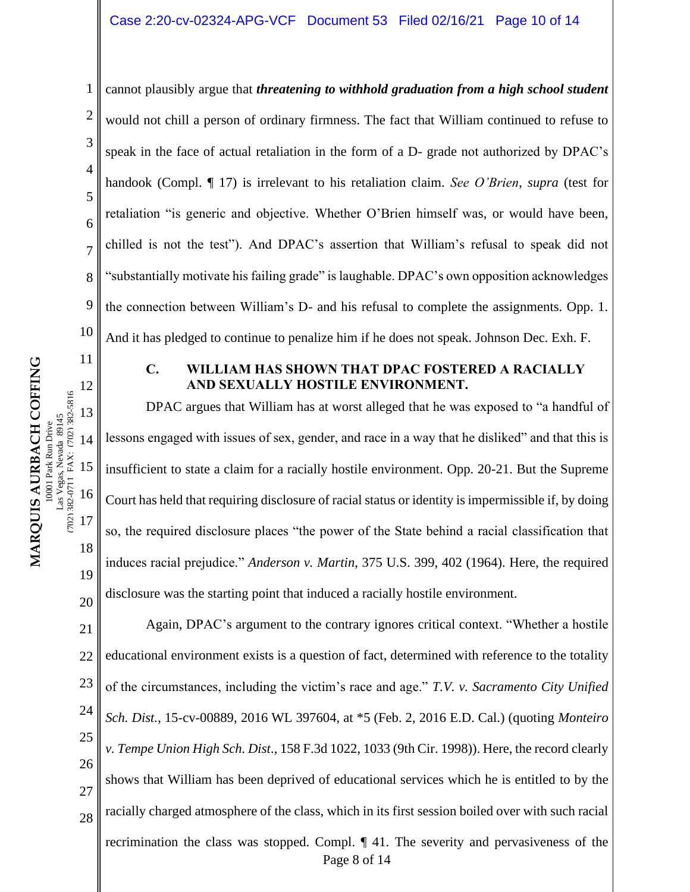2 3 4 5 6 7 8 9 10 cannot plausibly argue that *threatening to withhold graduation from a high school student*  would not chill a person of ordinary firmness. The fact that William continued to refuse to speak in the face of actual retaliation in the form of a D- grade not authorized by DPAC's handook (Compl. ¶ 17) is irrelevant to his retaliation claim. *See O'Brien*, *supra* (test for retaliation "is generic and objective. Whether O'Brien himself was, or would have been, chilled is not the test"). And DPAC's assertion that William's refusal to speak did not "substantially motivate his failing grade" is laughable. DPAC's own opposition acknowledges the connection between William's D- and his refusal to complete the assignments. Opp. 1. And it has pledged to continue to penalize him if he does not speak. Johnson Dec. Exh. F.

## **C. WILLIAM HAS SHOWN THAT DPAC FOSTERED A RACIALLY AND SEXUALLY HOSTILE ENVIRONMENT.**

DPAC argues that William has at worst alleged that he was exposed to "a handful of lessons engaged with issues of sex, gender, and race in a way that he disliked" and that this is insufficient to state a claim for a racially hostile environment. Opp. 20-21. But the Supreme Court has held that requiring disclosure of racial status or identity is impermissible if, by doing so, the required disclosure places "the power of the State behind a racial classification that induces racial prejudice." *Anderson v. Martin*, 375 U.S. 399, 402 (1964). Here, the required disclosure was the starting point that induced a racially hostile environment.

21 22 23 24 25 26 27 28 Page 8 of 14 Again, DPAC's argument to the contrary ignores critical context. "Whether a hostile educational environment exists is a question of fact, determined with reference to the totality of the circumstances, including the victim's race and age." *T.V. v. Sacramento City Unified Sch. Dist.*, 15-cv-00889, 2016 WL 397604, at \*5 (Feb. 2, 2016 E.D. Cal.) (quoting *Monteiro v. Tempe Union High Sch. Dist*., 158 F.3d 1022, 1033 (9th Cir. 1998)). Here, the record clearly shows that William has been deprived of educational services which he is entitled to by the racially charged atmosphere of the class, which in its first session boiled over with such racial recrimination the class was stopped. Compl. ¶ 41. The severity and pervasiveness of the

1

11

12

13

14

15

16

17

18

19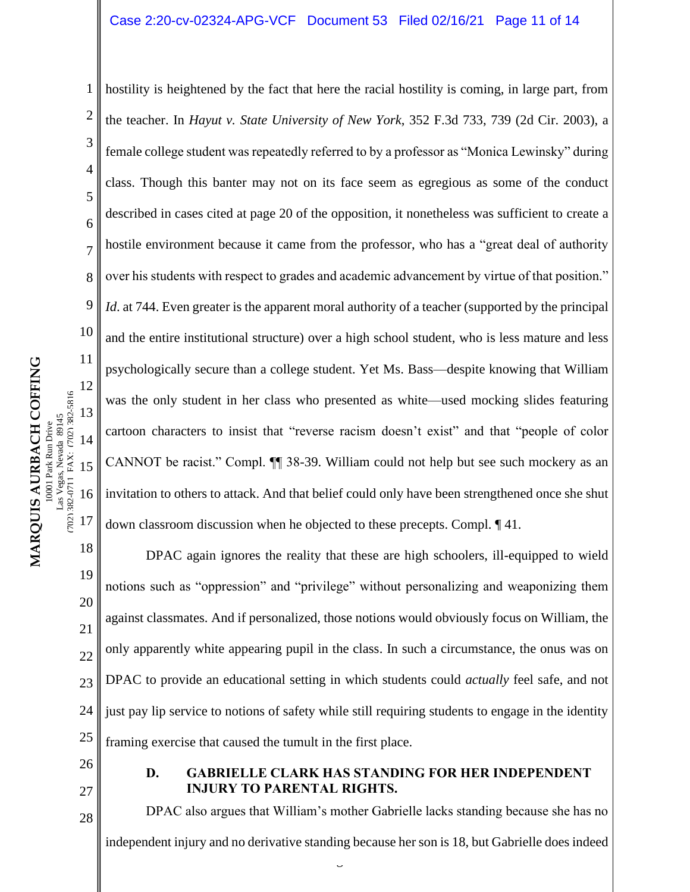#### Case 2:20-cv-02324-APG-VCF Document 53 Filed 02/16/21 Page 11 of 14

2 3 4 5 6 7 8 9 10 12 13 14 15 16 17 hostility is heightened by the fact that here the racial hostility is coming, in large part, from the teacher. In *Hayut v. State University of New York*, 352 F.3d 733, 739 (2d Cir. 2003), a female college student was repeatedly referred to by a professor as "Monica Lewinsky" during class. Though this banter may not on its face seem as egregious as some of the conduct described in cases cited at page 20 of the opposition, it nonetheless was sufficient to create a hostile environment because it came from the professor, who has a "great deal of authority over his students with respect to grades and academic advancement by virtue of that position." *Id.* at 744. Even greater is the apparent moral authority of a teacher (supported by the principal and the entire institutional structure) over a high school student, who is less mature and less psychologically secure than a college student. Yet Ms. Bass—despite knowing that William was the only student in her class who presented as white—used mocking slides featuring cartoon characters to insist that "reverse racism doesn't exist" and that "people of color CANNOT be racist." Compl. ¶¶ 38-39. William could not help but see such mockery as an invitation to others to attack. And that belief could only have been strengthened once she shut down classroom discussion when he objected to these precepts. Compl. ¶ 41.

18 19 20 21 22 23 24 25 DPAC again ignores the reality that these are high schoolers, ill-equipped to wield notions such as "oppression" and "privilege" without personalizing and weaponizing them against classmates. And if personalized, those notions would obviously focus on William, the only apparently white appearing pupil in the class. In such a circumstance, the onus was on DPAC to provide an educational setting in which students could *actually* feel safe, and not just pay lip service to notions of safety while still requiring students to engage in the identity framing exercise that caused the tumult in the first place.

- 26
- 27

28

## **D. GABRIELLE CLARK HAS STANDING FOR HER INDEPENDENT INJURY TO PARENTAL RIGHTS.**

DPAC also argues that William's mother Gabrielle lacks standing because she has no independent injury and no derivative standing because her son is 18, but Gabrielle does indeed

Page 9 of 14

(702) 382-0711 FAX: (702) 382-5816

1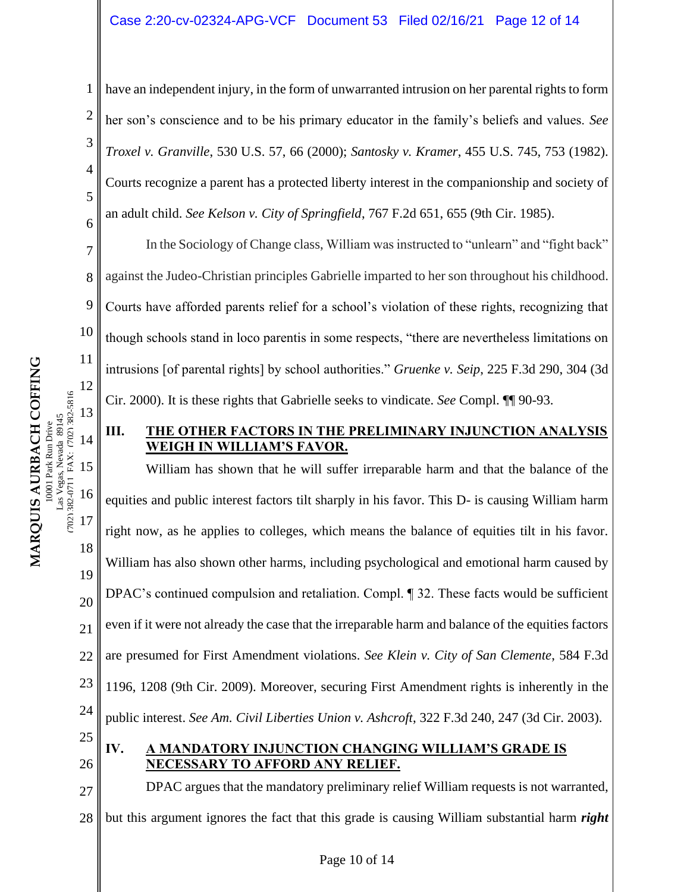have an independent injury, in the form of unwarranted intrusion on her parental rights to form her son's conscience and to be his primary educator in the family's beliefs and values. *See Troxel v. Granville*, 530 U.S. 57, 66 (2000); *Santosky v. Kramer*, 455 U.S. 745, 753 (1982). Courts recognize a parent has a protected liberty interest in the companionship and society of an adult child. *See Kelson v. City of Springfield*, 767 F.2d 651, 655 (9th Cir. 1985).

In the Sociology of Change class, William was instructed to "unlearn" and "fight back" against the Judeo-Christian principles Gabrielle imparted to her son throughout his childhood. Courts have afforded parents relief for a school's violation of these rights, recognizing that though schools stand in loco parentis in some respects, "there are nevertheless limitations on intrusions [of parental rights] by school authorities." *Gruenke v. Seip*, 225 F.3d 290, 304 (3d Cir. 2000). It is these rights that Gabrielle seeks to vindicate. *See* Compl. ¶¶ 90-93.

# **III. THE OTHER FACTORS IN THE PRELIMINARY INJUNCTION ANALYSIS WEIGH IN WILLIAM'S FAVOR.**

15 16 17 18 19 20 21 22 23 24 25 William has shown that he will suffer irreparable harm and that the balance of the equities and public interest factors tilt sharply in his favor. This D- is causing William harm right now, as he applies to colleges, which means the balance of equities tilt in his favor. William has also shown other harms, including psychological and emotional harm caused by DPAC's continued compulsion and retaliation. Compl. ¶ 32. These facts would be sufficient even if it were not already the case that the irreparable harm and balance of the equities factors are presumed for First Amendment violations. *See Klein v. City of San Clemente*, 584 F.3d 1196, 1208 (9th Cir. 2009). Moreover, securing First Amendment rights is inherently in the public interest. *See Am. Civil Liberties Union v. Ashcroft*, 322 F.3d 240, 247 (3d Cir. 2003).

26

1

2

3

4

5

6

7

8

9

10

11

12

13

14

382-0711 FAX: (702) 382-5816 as Vegas, Nevada 89145 10001 Park Run Drive

 $(702)$ 

**MARQUIS AURBACH COFFING** 10001 Park Run Drive Las Vegas, Nevada 89145 (702) 382-0711 FAX: (702) 382-5816

MARQUIS AURBACH COFFING

## **IV. A MANDATORY INJUNCTION CHANGING WILLIAM'S GRADE IS NECESSARY TO AFFORD ANY RELIEF.**

27 28 DPAC argues that the mandatory preliminary relief William requests is not warranted, but this argument ignores the fact that this grade is causing William substantial harm *right*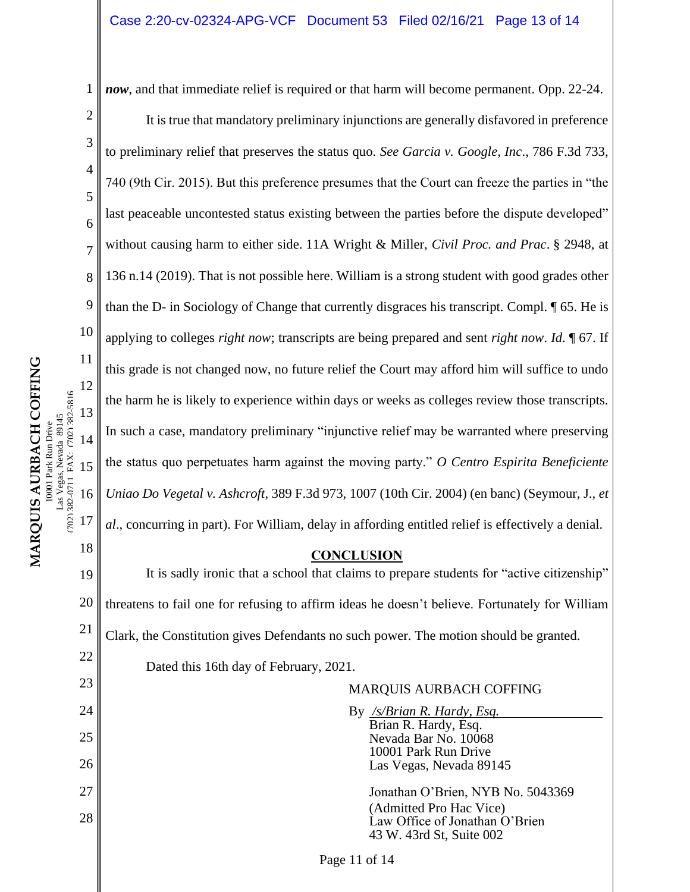*now*, and that immediate relief is required or that harm will become permanent. Opp. 22-24.

2 4 6 8 10 It is true that mandatory preliminary injunctions are generally disfavored in preference to preliminary relief that preserves the status quo. *See Garcia v. Google, Inc*., 786 F.3d 733, 740 (9th Cir. 2015). But this preference presumes that the Court can freeze the parties in "the last peaceable uncontested status existing between the parties before the dispute developed" without causing harm to either side. 11A Wright & Miller, *Civil Proc. and Prac*. § 2948, at 136 n.14 (2019). That is not possible here. William is a strong student with good grades other than the D- in Sociology of Change that currently disgraces his transcript. Compl. ¶ 65. He is applying to colleges *right now*; transcripts are being prepared and sent *right now*. *Id*. ¶ 67. If this grade is not changed now, no future relief the Court may afford him will suffice to undo the harm he is likely to experience within days or weeks as colleges review those transcripts. In such a case, mandatory preliminary "injunctive relief may be warranted where preserving the status quo perpetuates harm against the moving party." *O Centro Espirita Beneficiente Uniao Do Vegetal v. Ashcroft*, 389 F.3d 973, 1007 (10th Cir. 2004) (en banc) (Seymour, J., *et al*., concurring in part). For William, delay in affording entitled relief is effectively a denial.

## **CONCLUSION**

19 20 21 It is sadly ironic that a school that claims to prepare students for "active citizenship" threatens to fail one for refusing to affirm ideas he doesn't believe. Fortunately for William Clark, the Constitution gives Defendants no such power. The motion should be granted.

Dated this 16th day of February, 2021.

# MARQUIS AURBACH COFFING

By */s/Brian R. Hardy, Esq.* Brian R. Hardy, Esq. Nevada Bar No. 10068 10001 Park Run Drive Las Vegas, Nevada 89145 Jonathan O'Brien, NYB No. 5043369 (Admitted Pro Hac Vice) Law Office of Jonathan O'Brien 43 W. 43rd St, Suite 002

Page 11 of 14

1

3

5

7

9

11

12

13

14

15

16

17

18

22

23

24

25

26

27